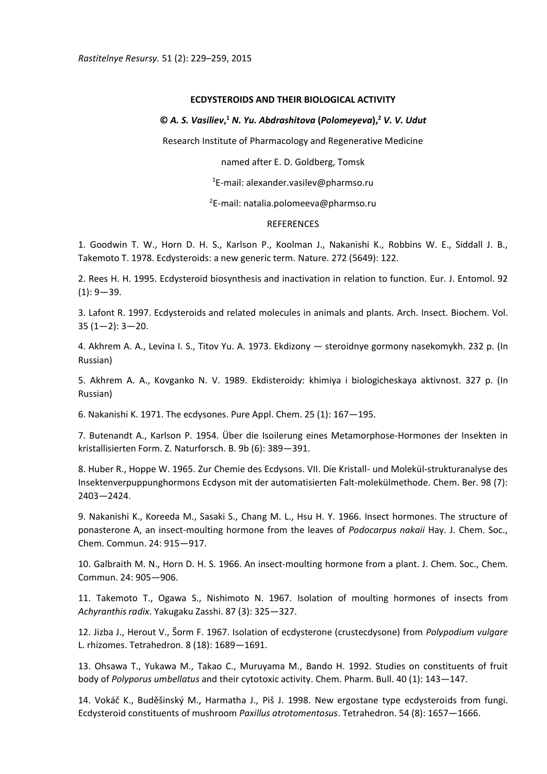## **ECDYSTEROIDS AND THEIR BIOLOGICAL ACTIVITY**

## **©** *A. S. Vasiliev***, <sup>1</sup>** *N. Yu. Abdrashitova* **(***Polomeyeva***),<sup>2</sup>** *V. V. Udut*

Research Institute of Pharmacology and Regenerative Medicine

named after E. D. Goldberg, Tomsk

 $1$ E-mail: alexander.vasilev@pharmso.ru

 $2E$ -mail: natalia.polomeeva@pharmso.ru

## REFERENCES

1. Goodwin T. W., Horn D. H. S., Karlson P., Koolman J., Nakanishi K., Robbins W. E., Siddall J. B., Takemoto T. 1978. Ecdysteroids: a new generic term. Nature. 272 (5649): 122.

2. Rees H. H. 1995. Ecdysteroid biosynthesis and inactivation in relation to function. Eur. J. Entomol. 92  $(1): 9 - 39.$ 

3. Lafont R. 1997. Ecdysteroids and related molecules in animals and plants. Arch. Insect. Biochem. Vol. 35 (1—2): 3—20.

4. Akhrem A. A., Levina I. S., Titov Yu. A. 1973. Ekdizony — steroidnye gormony nasekomykh. 232 p. (In Russian)

5. Akhrem A. A., Kovganko N. V. 1989. Ekdisteroidy: khimiya i biologicheskaya aktivnost. 327 p. (In Russian)

6. Nakanishi K. 1971. The ecdysones. Pure Appl. Chem. 25 (1): 167—195.

7. Butenandt A., Karlson P. 1954. Über die Isoilerung eines Metamorphose-Hormones der Insekten in kristallisierten Form. Z. Naturforsch. B. 9b (6): 389—391.

8. Huber R., Hoppe W. 1965. Zur Chemie des Ecdysons. VII. Die Kristall- und Molekül-strukturanalyse des Insektenverpuppunghormons Ecdyson mit der automatisierten Falt-molekülmethode. Chem. Ber. 98 (7): 2403—2424.

9. Nakanishi K., Koreeda M., Sasaki S., Chang M. L., Hsu H. Y. 1966. Insect hormones. The structure of ponasterone A, an insect-moulting hormone from the leaves of *Podocarpus nakaii* Hay. J. Chem. Soc., Chem. Commun. 24: 915—917.

10. Galbraith M. N., Horn D. H. S. 1966. An insect-moulting hormone from a plant. J. Chem. Soc., Chem. Commun. 24: 905—906.

11. Takemoto T., Ogawa S., Nishimoto N. 1967. Isolation of moulting hormones of insects from *Achyranthis radix*. Yakugaku Zasshi. 87 (3): 325—327.

12. Jizba J., Herout V., Šorm F. 1967. Isolation of ecdysterone (crustecdysone) from *Polypodium vulgare* L. rhizomes. Tetrahedron. 8 (18): 1689—1691.

13. Ohsawa T., Yukawa M., Takao C., Muruyama M., Bando H. 1992. Studies on constituents of fruit body of *Polyporus umbellatus* and their cytotoxic activity. Chem. Pharm. Bull. 40 (1): 143—147.

14. Vokáč K., Buděšinský M., Harmatha J., Piš J. 1998. New ergostane type ecdysteroids from fungi. Ecdysteroid constituents of mushroom *Paxillus atrotomentosus*. Tetrahedron. 54 (8): 1657—1666.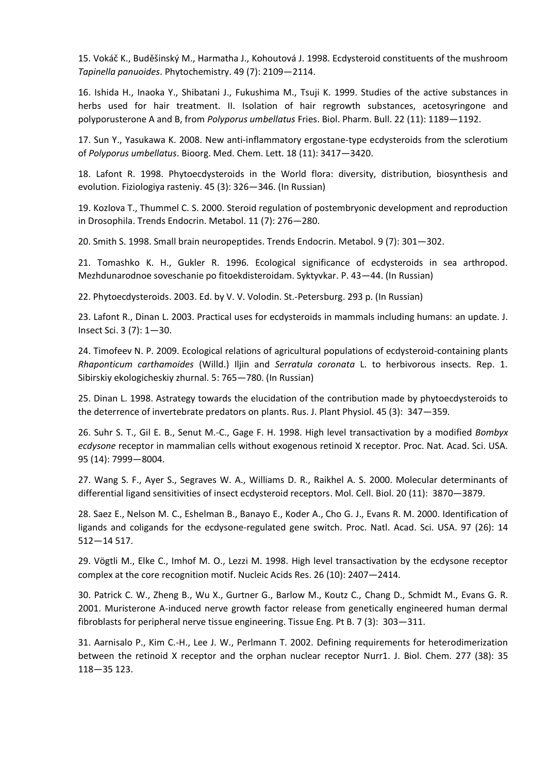15. Vokáč K., Buděšinský M., Harmatha J., Kohoutová J. 1998. Ecdysteroid constituents of the mushroom *Tapinella panuoides*. Phytochemistry. 49 (7): 2109—2114.

16. Ishida H., Inaoka Y., Shibatani J., Fukushima M., Tsuji K. 1999. Studies of the active substances in herbs used for hair treatment. II. Isolation of hair regrowth substances, acetosyringone and polyporusterone A and B, from *Polyporus umbellatus* Fries. Biol. Pharm. Bull. 22 (11): 1189—1192.

17. Sun Y., Yasukawa K. 2008. New anti-inflammatory ergostane-type ecdysteroids from the sclerotium of *Polyporus umbellatus*. Bioorg. Med. Chem. Lett. 18 (11): 3417—3420.

18. Lafont R. 1998. Phytoecdysteroids in the World flora: diversity, distribution, biosynthesis and evolution. Fiziologiya rasteniy. 45 (3): 326—346. (In Russian)

19. Kozlova T., Thummel C. S. 2000. Steroid regulation of postembryonic development and reproduction in Drosophila. Trends Endocrin. Metabol. 11 (7): 276—280.

20. Smith S. 1998. Small brain neuropeptides. Trends Endocrin. Metabol. 9 (7): 301—302.

21. Tomashko K. H., Gukler R. 1996. Ecological significance of ecdysteroids in sea arthropod. Mezhdunarodnoe soveschanie po fitoekdisteroidam. Syktyvkar. P. 43—44. (In Russian)

22. Phytoecdysteroids. 2003. Ed. by V. V. Volodin. St.-Petersburg. 293 p. (In Russian)

23. Lafont R., Dinan L. 2003. Practical uses for ecdysteroids in mammals including humans: an update. J. Insect Sci. 3 (7): 1—30.

24. Timofeev N. P. 2009. Ecological relations of agricultural populations of ecdysteroid-containing plants *Rhaponticum carthamoides* (Willd.) Iljin and *Serratula coronata* L. to herbivorous insects. Rep. 1. Sibirskiy ekologicheskiy zhurnal. 5: 765—780. (In Russian)

25. Dinan L. 1998. Astrategy towards the elucidation of the contribution made by phytoecdysteroids to the deterrence of invertebrate predators on plants. Rus. J. Plant Physiol. 45 (3): 347—359.

26. Suhr S. T., Gil E. B., Senut M.-C., Gage F. H. 1998. High level transactivation by a modified *Bombyx ecdysone* receptor in mammalian cells without exogenous retinoid X receptor. Proc. Nat. Acad. Sci. USA. 95 (14): 7999—8004.

27. Wang S. F., Ayer S., Segraves W. A., Williams D. R., Raikhel A. S. 2000. Molecular determinants of differential ligand sensitivities of insect ecdysteroid receptors. Mol. Cell. Biol. 20 (11): 3870—3879.

28. Saez E., Nelson M. C., Eshelman B., Banayo E., Koder A., Cho G. J., Evans R. M. 2000. Identification of ligands and coligands for the ecdysone-regulated gene switch. Proc. Natl. Acad. Sci. USA. 97 (26): 14 512—14 517.

29. Vögtli M., Elke C., Imhof M. O., Lezzi M. 1998. High level transactivation by the ecdysone receptor complex at the core recognition motif. Nucleic Acids Res. 26 (10): 2407—2414.

30. Patrick C. W., Zheng B., Wu X., Gurtner G., Barlow M., Koutz C., Chang D., Schmidt M., Evans G. R. 2001. Muristerone A-induced nerve growth factor release from genetically engineered human dermal fibroblasts for peripheral nerve tissue engineering. Tissue Eng. Pt B. 7 (3): 303—311.

31. Aarnisalo P., Kim C.-H., Lee J. W., Perlmann T. 2002. Defining requirements for heterodimerization between the retinoid X receptor and the orphan nuclear receptor Nurr1. J. Biol. Chem. 277 (38): 35 118—35 123.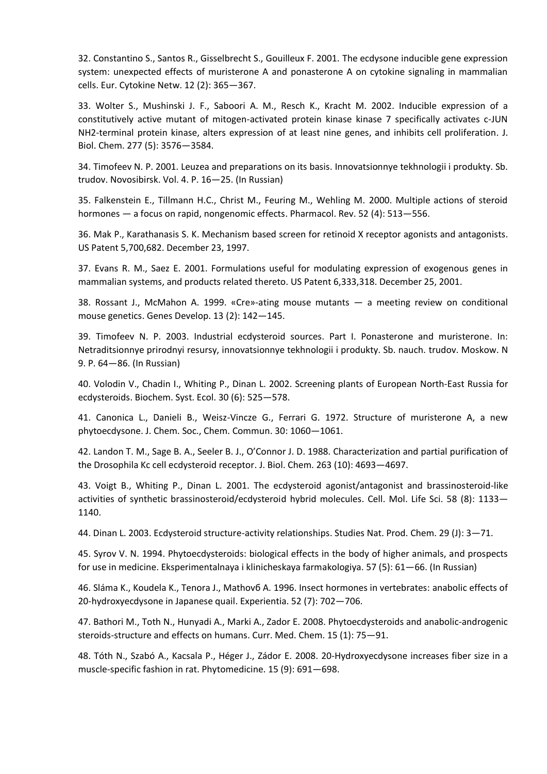32. Constantino S., Santos R., Gisselbrecht S., Gouilleux F. 2001. The ecdysone inducible gene expression system: unexpected effects of muristerone A and ponasterone A on cytokine signaling in mammalian cells. Eur. Cytokine Netw. 12 (2): 365—367.

33. Wolter S., Mushinski J. F., Saboori A. M., Resch K., Kracht M. 2002. Inducible expression of a constitutively active mutant of mitogen-activated protein kinase kinase 7 specifically activates c-JUN NH2-terminal protein kinase, alters expression of at least nine genes, and inhibits cell proliferation. J. Biol. Chem. 277 (5): 3576—3584.

34. Timofeev N. P. 2001. Leuzea and preparations on its basis. Innovatsionnye tekhnologii i produkty. Sb. trudov. Novosibirsk. Vol. 4. P. 16—25. (In Russian)

35. Falkenstein E., Tillmann H.C., Christ M., Feuring M., Wehling M. 2000. Multiple actions of steroid hormones — a focus on rapid, nongenomic effects. Pharmacol. Rev. 52 (4): 513—556.

36. Mak P., Karathanasis S. K. Mechanism based screen for retinoid X receptor agonists and antagonists. US Patent 5,700,682. December 23, 1997.

37. Evans R. M., Saez E. 2001. Formulations useful for modulating expression of exogenous genes in mammalian systems, and products related thereto. US Patent 6,333,318. December 25, 2001.

38. Rossant J., McMahon A. 1999. «Cre»-ating mouse mutants — a meeting review on conditional mouse genetics. Genes Develop. 13 (2): 142—145.

39. Timofeev N. P. 2003. Industrial ecdysteroid sources. Part I. Ponasterone and muristerone. In: Netraditsionnye prirodnyi resursy, innovatsionnye tekhnologii i produkty. Sb. nauch. trudov. Moskow. N 9. P. 64—86. (In Russian)

40. Volodin V., Chadin I., Whiting P., Dinan L. 2002. Screening plants of European North-East Russia for ecdysteroids. Biochem. Syst. Ecol. 30 (6): 525—578.

41. Canonica L., Danieli B., Weisz-Vincze G., Ferrari G. 1972. Structure of muristerone A, a new phytoecdysone. J. Chem. Soc., Chem. Commun. 30: 1060—1061.

42. Landon T. M., Sage B. A., Seeler B. J., O'Connor J. D. 1988. Characterization and partial purification of the Drosophila Kc cell ecdysteroid receptor. J. Biol. Chem. 263 (10): 4693—4697.

43. Voigt B., Whiting P., Dinan L. 2001. The ecdysteroid agonist/antagonist and brassinosteroid-like activities of synthetic brassinosteroid/ecdysteroid hybrid molecules. Cell. Mol. Life Sci. 58 (8): 1133— 1140.

44. Dinan L. 2003. Ecdysteroid structure-activity relationships. Studies Nat. Prod. Chem. 29 (J): 3—71.

45. Syrov V. N. 1994. Phytoecdysteroids: biological effects in the body of higher animals, and prospects for use in medicine. Eksperimentalnaya i klinicheskaya farmakologiya. 57 (5): 61—66. (In Russian)

46. Sláma K., Koudela K., Tenora J., Mathovб A. 1996. Insect hormones in vertebrates: anabolic effects of 20-hydroxyecdysone in Japanese quail. Experientia. 52 (7): 702—706.

47. Bathori M., Toth N., Hunyadi A., Marki A., Zador E. 2008. Phytoecdysteroids and anabolic-androgenic steroids-structure and effects on humans. Curr. Med. Chem. 15 (1): 75—91.

48. Tóth N., Szabó A., Kacsala P., Héger J., Zádor E. 2008. 20-Hydroxyecdysone increases fiber size in a muscle-specific fashion in rat. Phytomedicine. 15 (9): 691—698.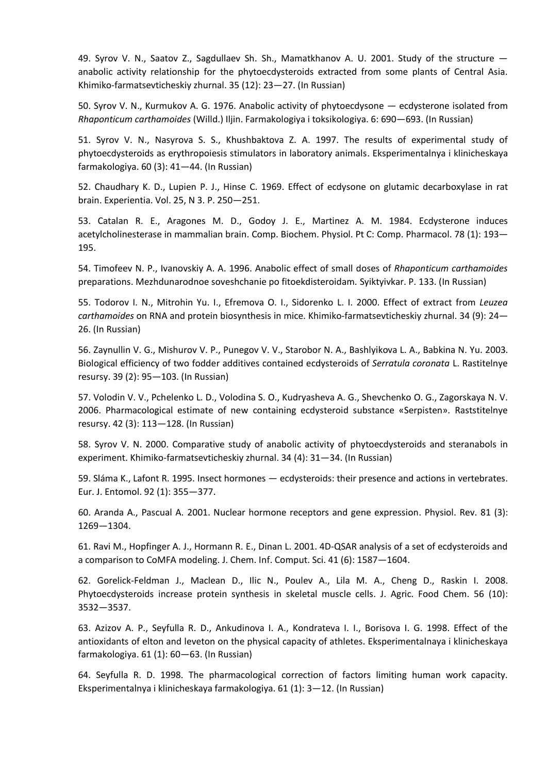49. Syrov V. N., Saatov Z., Sagdullaev Sh. Sh., Mamatkhanov A. U. 2001. Study of the structure anabolic activity relationship for the phytoecdysteroids extracted from some plants of Central Asia. Khimiko-farmatsevticheskiy zhurnal. 35 (12): 23—27. (In Russian)

50. Syrov V. N., Kurmukov A. G. 1976. Anabolic activity of phytoecdysone — ecdysterone isolated from *Rhaponticum carthamoides* (Willd.) Iljin. Farmakologiya i toksikologiya. 6: 690—693. (In Russian)

51. Syrov V. N., Nasyrova S. S., Khushbaktova Z. A. 1997. The results of experimental study of phytoecdysteroids as erythropoiesis stimulators in laboratory animals. Eksperimentalnya i klinicheskaya farmakologiya. 60 (3): 41—44. (In Russian)

52. Chaudhary K. D., Lupien P. J., Hinse C. 1969. Effect of ecdysone on glutamic decarboxylase in rat brain. Experientia. Vol. 25, N 3. P. 250—251.

53. Catalan R. E., Aragones M. D., Godoy J. E., Martinez A. M. 1984. Ecdysterone induces acetylcholinesterase in mammalian brain. Comp. Biochem. Physiol. Pt C: Comp. Pharmacol. 78 (1): 193— 195.

54. Timofeev N. P., Ivanovskiy A. A. 1996. Anabolic effect of small doses of *Rhaponticum carthamoides* preparations. Mezhdunarodnoe soveshchanie po fitoekdisteroidam. Syiktyivkar. P. 133. (In Russian)

55. Todorov I. N., Mitrohin Yu. I., Efremova O. I., Sidorenko L. I. 2000. Effect of extract from *Leuzea carthamoides* on RNA and protein biosynthesis in mice. Khimiko-farmatsevticheskiy zhurnal. 34 (9): 24— 26. (In Russian)

56. Zaynullin V. G., Mishurov V. P., Punegov V. V., Starobor N. A., Bashlyikova L. A., Babkina N. Yu. 2003. Biological efficiency of two fodder additives contained ecdysteroids of *Serratula coronata* L. Rastitelnye resursy. 39 (2): 95—103. (In Russian)

57. Volodin V. V., Pchelenko L. D., Volodina S. O., Kudryasheva A. G., Shevchenko O. G., Zagorskaya N. V. 2006. Pharmacological estimate of new containing ecdysteroid substance «Serpisten». Raststitelnye resursy. 42 (3): 113—128. (In Russian)

58. Syrov V. N. 2000. Comparative study of anabolic activity of phytoecdysteroids and steranabols in experiment. Khimiko-farmatsevticheskiy zhurnal. 34 (4): 31—34. (In Russian)

59. Sláma K., Lafont R. 1995. Insect hormones — ecdysteroids: their presence and actions in vertebrates. Eur. J. Entomol. 92 (1): 355—377.

60. Aranda A., Pascual A. 2001. Nuclear hormone receptors and gene expression. Physiol. Rev. 81 (3): 1269—1304.

61. Ravi M., Hopfinger A. J., Hormann R. E., Dinan L. 2001. 4D-QSAR analysis of a set of ecdysteroids and a comparison to CoMFA modeling. J. Chem. Inf. Comput. Sci. 41 (6): 1587—1604.

62. Gorelick-Feldman J., Maclean D., Ilic N., Poulev A., Lila M. A., Cheng D., Raskin I. 2008. Phytoecdysteroids increase protein synthesis in skeletal muscle cells. J. Agric. Food Chem. 56 (10): 3532—3537.

63. Azizov A. P., Seyfulla R. D., Ankudinova I. A., Kondrateva I. I., Borisova I. G. 1998. Effect of the antioxidants of elton and leveton on the physical capacity of athletes. Eksperimentalnaya i klinicheskaya farmakologiya. 61 (1): 60—63. (In Russian)

64. Seyfulla R. D. 1998. The pharmacological correction of factors limiting human work capacity. Eksperimentalnya i klinicheskaya farmakologiya. 61 (1): 3—12. (In Russian)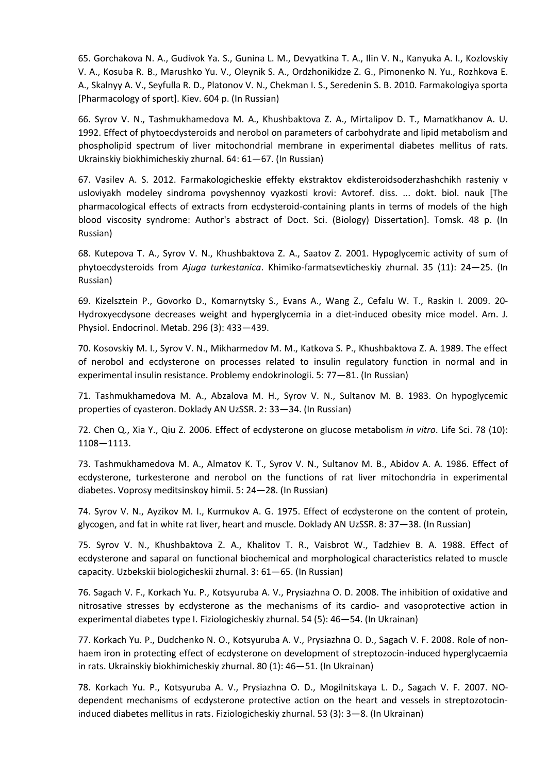65. Gorchakova N. A., Gudivok Ya. S., Gunina L. M., Devyatkina T. A., Ilin V. N., Kanyuka A. I., Kozlovskiy V. A., Kosuba R. B., Marushko Yu. V., Oleynik S. A., Ordzhonikidze Z. G., Pimonenko N. Yu., Rozhkova E. A., Skalnyy A. V., Seyfulla R. D., Platonov V. N., Chekman I. S., Seredenin S. B. 2010. Farmakologiya sporta [Pharmacology of sport]. Kiev. 604 p. (In Russian)

66. Syrov V. N., Tashmukhamedova M. A., Khushbaktova Z. A., Mirtalipov D. T., Mamatkhanov A. U. 1992. Effect of phytoecdysteroids and nerobol on parameters of carbohydrate and lipid metabolism and phospholipid spectrum of liver mitochondrial membrane in experimental diabetes mellitus of rats. Ukrainskiy biokhimicheskiy zhurnal. 64: 61—67. (In Russian)

67. Vasilev A. S. 2012. Farmakologicheskie effekty ekstraktov ekdisteroidsoderzhashchikh rasteniy v usloviyakh modeley sindroma povyshennoy vyazkosti krovi: Avtoref. diss. ... dokt. biol. nauk [The pharmacological effects of extracts from ecdysteroid-containing plants in terms of models of the high blood viscosity syndrome: Author's abstract of Doct. Sci. (Biology) Dissertation]. Tomsk. 48 p. (In Russian)

68. Kutepova T. A., Syrov V. N., Khushbaktova Z. A., Saatov Z. 2001. Hypoglycemic activity of sum of phytoecdysteroids from *Ajuga turkestanica*. Khimiko-farmatsevticheskiy zhurnal. 35 (11): 24—25. (In Russian)

69. Kizelsztein P., Govorko D., Komarnytsky S., Evans A., Wang Z., Cefalu W. T., Raskin I. 2009. 20- Hydroxyecdysone decreases weight and hyperglycemia in a diet-induced obesity mice model. Am. J. Physiol. Endocrinol. Metab. 296 (3): 433—439.

70. Kosovskiy M. I., Syrov V. N., Mikharmedov M. M., Katkova S. P., Khushbaktova Z. A. 1989. The effect of nerobol and ecdysterone on processes related to insulin regulatory function in normal and in experimental insulin resistance. Problemy endokrinologii. 5: 77—81. (In Russian)

71. Tashmukhamedova M. A., Abzalova M. H., Syrov V. N., Sultanov M. B. 1983. On hypoglycemic properties of cyasteron. Doklady AN UzSSR. 2: 33—34. (In Russian)

72. Chen Q., Xia Y., Qiu Z. 2006. Effect of ecdysterone on glucose metabolism *in vitro*. Life Sci. 78 (10): 1108—1113.

73. Tashmukhamedova M. A., Almatov K. T., Syrov V. N., Sultanov M. B., Abidov A. A. 1986. Effect of ecdysterone, turkesterone and nerobol on the functions of rat liver mitochondria in experimental diabetes. Voprosy meditsinskoy himii. 5: 24—28. (In Russian)

74. Syrov V. N., Ayzikov M. I., Kurmukov A. G. 1975. Effect of ecdysterone on the content of protein, glycogen, and fat in white rat liver, heart and muscle. Doklady AN UzSSR. 8: 37—38. (In Russian)

75. Syrov V. N., Khushbaktova Z. A., Khalitov T. R., Vaisbrot W., Tadzhiev B. A. 1988. Effect of ecdysterone and saparal on functional biochemical and morphological characteristics related to muscle capacity. Uzbekskii biologicheskii zhurnal. 3: 61—65. (In Russian)

76. Sagach V. F., Korkach Yu. P., Kotsyuruba A. V., Prysiazhna O. D. 2008. The inhibition of oxidative and nitrosative stresses by ecdysterone as the mechanisms of its cardio- and vasoprotective action in experimental diabetes type I. Fiziologicheskiy zhurnal. 54 (5): 46—54. (In Ukrainan)

77. Korkach Yu. P., Dudchenko N. O., Kotsyuruba A. V., Prysiazhna O. D., Sagach V. F. 2008. Role of nonhaem iron in protecting effect of ecdysterone on development of streptozocin-induced hyperglycaemia in rats. Ukrainskiy biokhimicheskiy zhurnal. 80 (1): 46—51. (In Ukrainan)

78. Korkach Yu. P., Kotsyuruba A. V., Prysiazhna O. D., Mogilnitskaya L. D., Sagach V. F. 2007. NOdependent mechanisms of ecdysterone protective action on the heart and vessels in streptozotocininduced diabetes mellitus in rats. Fiziologicheskiy zhurnal. 53 (3): 3—8. (In Ukrainan)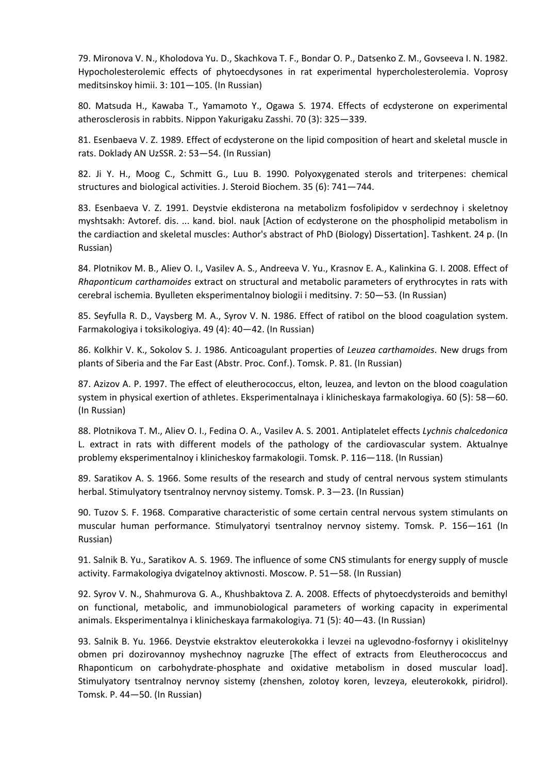79. Mironova V. N., Kholodova Yu. D., Skachkova T. F., Bondar O. P., Datsenko Z. M., Govseeva I. N. 1982. Hypocholesterolemic effects of phytoecdysones in rat experimental hypercholesterolemia. Voprosy meditsinskoy himii. 3: 101—105. (In Russian)

80. Matsuda H., Kawaba T., Yamamoto Y., Ogawa S. 1974. Effects of ecdysterone on experimental atherosclerosis in rabbits. Nippon Yakurigaku Zasshi. 70 (3): 325—339.

81. Esenbaeva V. Z. 1989. Effect of ecdysterone on the lipid composition of heart and skeletal muscle in rats. Doklady AN UzSSR. 2: 53—54. (In Russian)

82. Ji Y. H., Moog C., Schmitt G., Luu B. 1990. Polyoxygenated sterols and triterpenes: chemical structures and biological activities. J. Steroid Biochem. 35 (6): 741—744.

83. Esenbaeva V. Z. 1991. Deystvie ekdisterona na metabolizm fosfolipidov v serdechnoy i skeletnoy myshtsakh: Avtoref. dis. ... kand. biol. nauk [Action of ecdysterone on the phospholipid metabolism in the cardiaction and skeletal muscles: Author's abstract of PhD (Biology) Dissertation]. Tashkent. 24 p. (In Russian)

84. Plotnikov M. B., Aliev O. I., Vasilev A. S., Andreeva V. Yu., Krasnov E. A., Kalinkina G. I. 2008. Effect of *Rhaponticum carthamoides* extract on structural and metabolic parameters of erythrocytes in rats with cerebral ischemia. Byulleten eksperimentalnoy biologii i meditsiny. 7: 50—53. (In Russian)

85. Seyfulla R. D., Vaysberg M. A., Syrov V. N. 1986. Effect of ratibol on the blood coagulation system. Farmakologiya i toksikologiya. 49 (4): 40—42. (In Russian)

86. Kolkhir V. K., Sokolov S. J. 1986. Anticoagulant properties of *Leuzea carthamoides*. New drugs from plants of Siberia and the Far East (Abstr. Proc. Conf.). Tomsk. P. 81. (In Russian)

87. Azizov A. P. 1997. The effect of eleutherococcus, elton, leuzea, and levton on the blood coagulation system in physical exertion of athletes. Eksperimentalnaya i klinicheskaya farmakologiya. 60 (5): 58—60. (In Russian)

88. Plotnikova T. M., Aliev O. I., Fedina O. A., Vasilev A. S. 2001. Antiplatelet effects *Lychnis chalcedonica* L. extract in rats with different models of the pathology of the cardiovascular system. Aktualnye problemy eksperimentalnoy i klinicheskoy farmakologii. Tomsk. P. 116—118. (In Russian)

89. Saratikov A. S. 1966. Some results of the research and study of central nervous system stimulants herbal. Stimulyatory tsentralnoy nervnoy sistemy. Tomsk. P. 3—23. (In Russian)

90. Tuzov S. F. 1968. Comparative characteristic of some certain central nervous system stimulants on muscular human performance. Stimulyatoryi tsentralnoy nervnoy sistemy. Tomsk. P. 156—161 (In Russian)

91. Salnik B. Yu., Saratikov A. S. 1969. The influence of some CNS stimulants for energy supply of muscle activity. Farmakologiya dvigatelnoy aktivnosti. Moscow. P. 51—58. (In Russian)

92. Syrov V. N., Shahmurova G. A., Khushbaktova Z. A. 2008. Effects of phytoecdysteroids and bemithyl on functional, metabolic, and immunobiological parameters of working capacity in experimental animals. Eksperimentalnya i klinicheskaya farmakologiya. 71 (5): 40—43. (In Russian)

93. Salnik B. Yu. 1966. Deystvie ekstraktov eleuterokokka i levzei na uglevodno-fosfornyy i okislitelnyy obmen pri dozirovannoy myshechnoy nagruzke [The effect of extracts from Eleutherococcus and Rhaponticum on carbohydrate-phosphate and oxidative metabolism in dosed muscular load]. Stimulyatory tsentralnoy nervnoy sistemy (zhenshen, zolotoy koren, levzeya, eleuterokokk, piridrol). Tomsk. P. 44—50. (In Russian)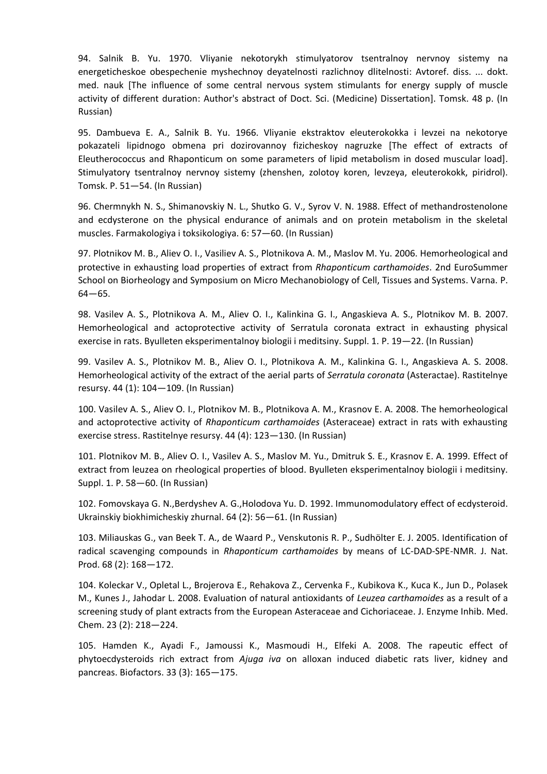94. Salnik B. Yu. 1970. Vliyanie nekotorykh stimulyatorov tsentralnoy nervnoy sistemy na energeticheskoe obespechenie myshechnoy deyatelnosti razlichnoy dlitelnosti: Avtoref. diss. ... dokt. med. nauk [The influence of some central nervous system stimulants for energy supply of muscle activity of different duration: Author's abstract of Doct. Sci. (Medicine) Dissertation]. Tomsk. 48 p. (In Russian)

95. Dambueva E. A., Salnik B. Yu. 1966. Vliyanie ekstraktov eleuterokokka i levzei na nekotorye pokazateli lipidnogo obmena pri dozirovannoy fizicheskoy nagruzke [The effect of extracts of Eleutherococcus and Rhaponticum on some parameters of lipid metabolism in dosed muscular load]. Stimulyatory tsentralnoy nervnoy sistemy (zhenshen, zolotoy koren, levzeya, eleuterokokk, piridrol). Tomsk. P. 51—54. (In Russian)

96. Chermnykh N. S., Shimanovskiy N. L., Shutko G. V., Syrov V. N. 1988. Effect of methandrostenolone and ecdysterone on the physical endurance of animals and on protein metabolism in the skeletal muscles. Farmakologiya i toksikologiya. 6: 57—60. (In Russian)

97. Plotnikov M. B., Aliev O. I., Vasiliev A. S., Plotnikova A. M., Maslov M. Yu. 2006. Hemorheological and protective in exhausting load properties of extract from *Rhaponticum carthamoides*. 2nd EuroSummer School on Biorheology and Symposium on Micro Mechanobiology of Cell, Tissues and Systems. Varna. P. 64—65.

98. Vasilev A. S., Plotnikova A. M., Aliev O. I., Kalinkina G. I., Angaskieva A. S., Plotnikov M. B. 2007. Hemorheological and actoprotective activity of Serratula coronata extract in exhausting physical exercise in rats. Byulleten eksperimentalnoy biologii i meditsiny. Suppl. 1. P. 19—22. (In Russian)

99. Vasilev A. S., Plotnikov M. B., Aliev O. I., Plotnikova A. M., Kalinkina G. I., Angaskieva A. S. 2008. Hemorheological activity of the extract of the aerial parts of *Serratula coronata* (Asteractae). Rastitelnye resursy. 44 (1): 104—109. (In Russian)

100. Vasilev A. S., Aliev O. I., Plotnikov M. B., Plotnikova A. M., Krasnov E. A. 2008. The hemorheological and actoprotective activity of *Rhaponticum carthamoides* (Asteraceae) extract in rats with exhausting exercise stress. Rastitelnye resursy. 44 (4): 123—130. (In Russian)

101. Plotnikov M. B., Aliev O. I., Vasilev A. S., Maslov M. Yu., Dmitruk S. E., Krasnov E. A. 1999. Effect of extract from leuzea on rheological properties of blood. Byulleten eksperimentalnoy biologii i meditsiny. Suppl. 1. P. 58—60. (In Russian)

102. Fomovskaya G. N.,Berdyshev A. G.,Holodova Yu. D. 1992. Immunomodulatory effect of ecdysteroid. Ukrainskiy biokhimicheskiy zhurnal. 64 (2): 56—61. (In Russian)

103. Miliauskas G., van Beek T. A., de Waard P., Venskutonis R. P., Sudhölter E. J. 2005. Identification of radical scavenging compounds in *Rhaponticum carthamoides* by means of LC-DAD-SPE-NMR. J. Nat. Prod. 68 (2): 168—172.

104. Koleckar V., Opletal L., Brojerova E., Rehakova Z., Cervenka F., Kubikova K., Kuca K., Jun D., Polasek M., Kunes J., Jahodar L. 2008. Evaluation of natural antioxidants of *Leuzea carthamoides* as a result of a screening study of plant extracts from the European Asteraceae and Cichoriaceae. J. Enzyme Inhib. Med. Chem. 23 (2): 218—224.

105. Hamden K., Ayadi F., Jamoussi K., Masmoudi H., Elfeki A. 2008. The rapeutic effect of phytoecdysteroids rich extract from *Ajuga iva* on alloxan induced diabetic rats liver, kidney and pancreas. Biofactors. 33 (3): 165—175.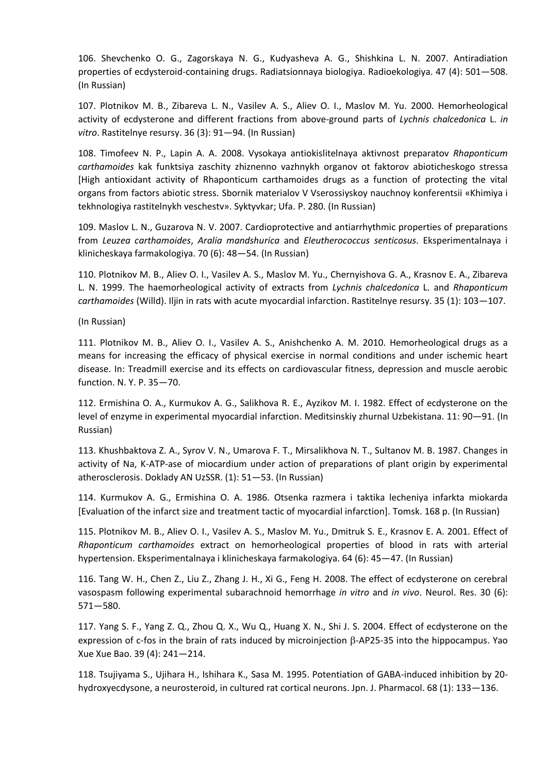106. Shevchenko O. G., Zagorskaya N. G., Kudyasheva A. G., Shishkina L. N. 2007. Antiradiation properties of ecdysteroid-containing drugs. Radiatsionnaya biologiya. Radioekologiya. 47 (4): 501—508. (In Russian)

107. Plotnikov M. B., Zibareva L. N., Vasilev A. S., Aliev O. I., Maslov M. Yu. 2000. Hemorheological activity of ecdysterone and different fractions from above-ground parts of *Lychnis chalcedonica* L. *in vitro*. Rastitelnye resursy. 36 (3): 91—94. (In Russian)

108. Timofeev N. P., Lapin A. A. 2008. Vysokaya antiokislitelnaya aktivnost preparatov *Rhaponticum carthamoides* kak funktsiya zaschity zhiznenno vazhnykh organov ot faktorov abioticheskogo stressa [High antioxidant activity of Rhaponticum carthamoides drugs as a function of protecting the vital organs from factors abiotic stress. Sbornik materialov V Vserossiyskoy nauchnoy konferentsii «Khimiya i tekhnologiya rastitelnykh veschestv». Syktyvkar; Ufa. P. 280. (In Russian)

109. Maslov L. N., Guzarova N. V. 2007. Cardioprotective and antiarrhythmic properties of preparations from *Leuzea carthamoides*, *Aralia mandshurica* and *Eleutherococcus senticosus*. Eksperimentalnaya i klinicheskaya farmakologiya. 70 (6): 48—54. (In Russian)

110. Plotnikov M. B., Aliev O. I., Vasilev A. S., Maslov M. Yu., Chernyishova G. A., Krasnov E. A., Zibareva L. N. 1999. The haemorheological activity of extracts from *Lychnis chalcedonica* L. and *Rhaponticum carthamoides* (Willd). Iljin in rats with acute myocardial infarction. Rastitelnye resursy. 35 (1): 103—107.

(In Russian)

111. Plotnikov M. B., Aliev O. I., Vasilev A. S., Anishchenko A. M. 2010. Hemorheological drugs as a means for increasing the efficacy of physical exercise in normal conditions and under ischemic heart disease. In: Treadmill exercise and its effects on cardiovascular fitness, depression and muscle aerobic function. N. Y. P. 35—70.

112. Ermishina O. A., Kurmukov A. G., Salikhova R. E., Ayzikov M. I. 1982. Effect of ecdysterone on the level of enzyme in experimental myocardial infarction. Meditsinskiy zhurnal Uzbekistana. 11: 90—91. (In Russian)

113. Khushbaktova Z. A., Syrov V. N., Umarova F. T., Mirsalikhova N. T., Sultanov M. B. 1987. Changes in activity of Na, K-ATP-ase of miocardium under action of preparations of plant origin by experimental atherosclerosis. Doklady AN UzSSR. (1): 51—53. (In Russian)

114. Kurmukov A. G., Ermishina O. A. 1986. Otsenka razmera i taktika lecheniya infarkta miokarda [Evaluation of the infarct size and treatment tactic of myocardial infarction]. Tomsk. 168 p. (In Russian)

115. Plotnikov M. B., Aliev O. I., Vasilev A. S., Maslov M. Yu., Dmitruk S. E., Krasnov E. A. 2001. Effect of *Rhaponticum carthamoides* extract on hemorheological properties of blood in rats with arterial hypertension. Eksperimentalnaya i klinicheskaya farmakologiya. 64 (6): 45—47. (In Russian)

116. Tang W. H., Chen Z., Liu Z., Zhang J. H., Xi G., Feng H. 2008. The effect of ecdysterone on cerebral vasospasm following experimental subarachnoid hemorrhage *in vitro* and *in vivo*. Neurol. Res. 30 (6): 571—580.

117. Yang S. F., Yang Z. Q., Zhou Q. X., Wu Q., Huang X. N., Shi J. S. 2004. Effect of ecdysterone on the expression of c-fos in the brain of rats induced by microinjection  $\beta$ -AP25-35 into the hippocampus. Yao Xue Xue Bao. 39 (4): 241—214.

118. Tsujiyama S., Ujihara H., Ishihara K., Sasa M. 1995. Potentiation of GABA-induced inhibition by 20 hydroxyecdysone, a neurosteroid, in cultured rat cortical neurons. Jpn. J. Pharmacol. 68 (1): 133—136.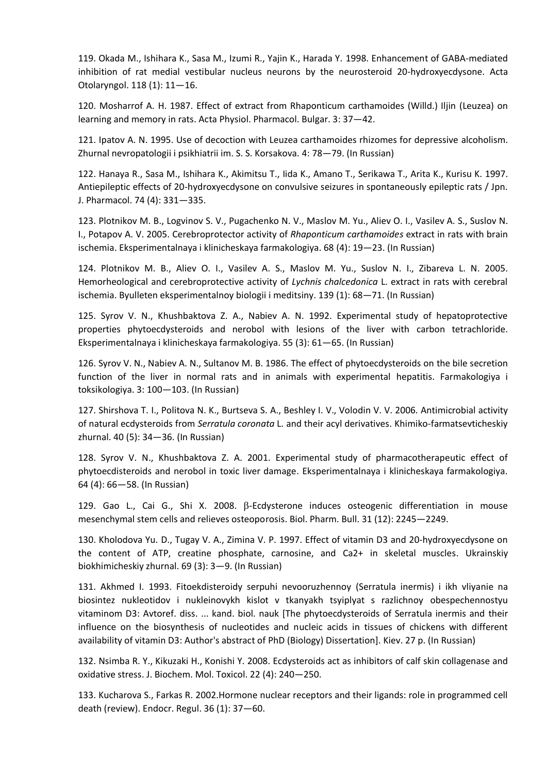119. Okada M., Ishihara K., Sasa M., Izumi R., Yajin K., Harada Y. 1998. Enhancement of GABA-mediated inhibition of rat medial vestibular nucleus neurons by the neurosteroid 20-hydroxyecdysone. Acta Otolaryngol. 118 (1): 11—16.

120. Mosharrof A. H. 1987. Effect of extract from Rhaponticum carthamoides (Willd.) Iljin (Leuzea) on learning and memory in rats. Acta Physiol. Pharmacol. Bulgar. 3: 37—42.

121. Ipatov A. N. 1995. Use of decoction with Leuzea carthamoides rhizomes for depressive alcoholism. Zhurnal nevropatologii i psikhiatrii im. S. S. Korsakova. 4: 78—79. (In Russian)

122. Hanaya R., Sasa M., Ishihara K., Akimitsu T., Iida K., Amano T., Serikawa T., Arita K., Kurisu K. 1997. Antiepileptic effects of 20-hydroxyecdysone on convulsive seizures in spontaneously epileptic rats / Jpn. J. Pharmacol. 74 (4): 331—335.

123. Plotnikov M. B., Logvinov S. V., Pugachenko N. V., Maslov M. Yu., Aliev O. I., Vasilev A. S., Suslov N. I., Potapov A. V. 2005. Cerebroprotector activity of *Rhaponticum carthamoides* extract in rats with brain ischemia. Eksperimentalnaya i klinicheskaya farmakologiya. 68 (4): 19—23. (In Russian)

124. Plotnikov M. B., Aliev O. I., Vasilev A. S., Maslov M. Yu., Suslov N. I., Zibareva L. N. 2005. Hemorheological and cerebroprotective activity of *Lychnis chalcedonica* L. extract in rats with cerebral ischemia. Byulleten eksperimentalnoy biologii i meditsiny. 139 (1): 68—71. (In Russian)

125. Syrov V. N., Khushbaktova Z. A., Nabiev A. N. 1992. Experimental study of hepatoprotective properties phytoecdysteroids and nerobol with lesions of the liver with carbon tetrachloride. Eksperimentalnaya i klinicheskaya farmakologiya. 55 (3): 61—65. (In Russian)

126. Syrov V. N., Nabiev A. N., Sultanov M. B. 1986. The effect of phytoecdysteroids on the bile secretion function of the liver in normal rats and in animals with experimental hepatitis. Farmakologiya i toksikologiya. 3: 100—103. (In Russian)

127. Shirshova T. I., Politova N. K., Burtseva S. A., Beshley I. V., Volodin V. V. 2006. Antimicrobial activity of natural ecdysteroids from *Serratula coronata* L. and their acyl derivatives. Khimiko-farmatsevticheskiy zhurnal. 40 (5): 34—36. (In Russian)

128. Syrov V. N., Khushbaktova Z. A. 2001. Experimental study of pharmacotherapeutic effect of phytoecdisteroids and nerobol in toxic liver damage. Eksperimentalnaya i klinicheskaya farmakologiya. 64 (4): 66—58. (In Russian)

129. Gao L., Cai G., Shi X. 2008.  $\beta$ -Ecdysterone induces osteogenic differentiation in mouse mesenchymal stem cells and relieves osteoporosis. Biol. Pharm. Bull. 31 (12): 2245—2249.

130. Kholodova Yu. D., Tugay V. A., Zimina V. P. 1997. Effect of vitamin D3 and 20-hydroxyecdysone on the content of ATP, creatine phosphate, carnosine, and Ca2+ in skeletal muscles. Ukrainskiy biokhimicheskiy zhurnal. 69 (3): 3—9. (In Russian)

131. Akhmed I. 1993. Fitoekdisteroidy serpuhi nevooruzhennoy (Serratula inermis) i ikh vliyanie na biosintez nukleotidov i nukleinovykh kislot v tkanyakh tsyiplyat s razlichnoy obespechennostyu vitaminom D3: Avtoref. diss. ... kand. biol. nauk [The phytoecdysteroids of Serratula inermis and their influence on the biosynthesis of nucleotides and nucleic acids in tissues of chickens with different availability of vitamin D3: Author's abstract of PhD (Biology) Dissertation]. Kiev. 27 p. (In Russian)

132. Nsimba R. Y., Kikuzaki H., Konishi Y. 2008. Ecdysteroids act as inhibitors of calf skin collagenase and oxidative stress. J. Biochem. Mol. Toxicol. 22 (4): 240—250.

133. Kucharova S., Farkas R. 2002.Hormone nuclear receptors and their ligands: role in programmed cell death (review). Endocr. Regul. 36 (1): 37—60.